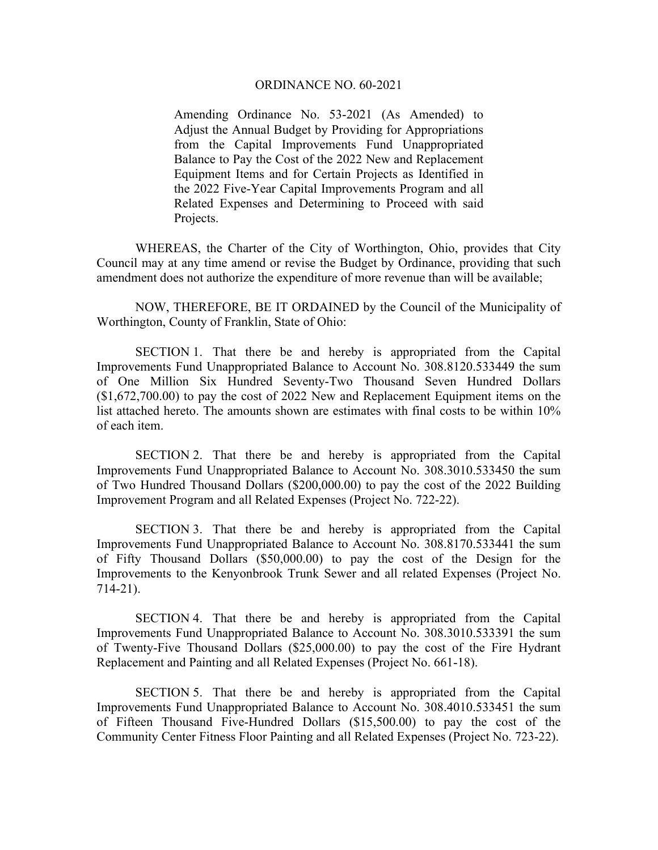## ORDINANCE NO. 60-2021

Amending Ordinance No. 53-2021 (As Amended) to Adjust the Annual Budget by Providing for Appropriations from the Capital Improvements Fund Unappropriated Balance to Pay the Cost of the 2022 New and Replacement Equipment Items and for Certain Projects as Identified in the 2022 Five-Year Capital Improvements Program and all Related Expenses and Determining to Proceed with said Projects.

WHEREAS, the Charter of the City of Worthington, Ohio, provides that City Council may at any time amend or revise the Budget by Ordinance, providing that such amendment does not authorize the expenditure of more revenue than will be available;

NOW, THEREFORE, BE IT ORDAINED by the Council of the Municipality of Worthington, County of Franklin, State of Ohio:

SECTION 1. That there be and hereby is appropriated from the Capital Improvements Fund Unappropriated Balance to Account No. 308.8120.533449 the sum of One Million Six Hundred Seventy-Two Thousand Seven Hundred Dollars (\$1,672,700.00) to pay the cost of 2022 New and Replacement Equipment items on the list attached hereto. The amounts shown are estimates with final costs to be within 10% of each item.

SECTION 2. That there be and hereby is appropriated from the Capital Improvements Fund Unappropriated Balance to Account No. 308.3010.533450 the sum of Two Hundred Thousand Dollars (\$200,000.00) to pay the cost of the 2022 Building Improvement Program and all Related Expenses (Project No. 722-22).

SECTION 3. That there be and hereby is appropriated from the Capital Improvements Fund Unappropriated Balance to Account No. 308.8170.533441 the sum of Fifty Thousand Dollars (\$50,000.00) to pay the cost of the Design for the Improvements to the Kenyonbrook Trunk Sewer and all related Expenses (Project No. 714-21).

SECTION 4. That there be and hereby is appropriated from the Capital Improvements Fund Unappropriated Balance to Account No. 308.3010.533391 the sum of Twenty-Five Thousand Dollars (\$25,000.00) to pay the cost of the Fire Hydrant Replacement and Painting and all Related Expenses (Project No. 661-18).

SECTION 5. That there be and hereby is appropriated from the Capital Improvements Fund Unappropriated Balance to Account No. 308.4010.533451 the sum of Fifteen Thousand Five-Hundred Dollars (\$15,500.00) to pay the cost of the Community Center Fitness Floor Painting and all Related Expenses (Project No. 723-22).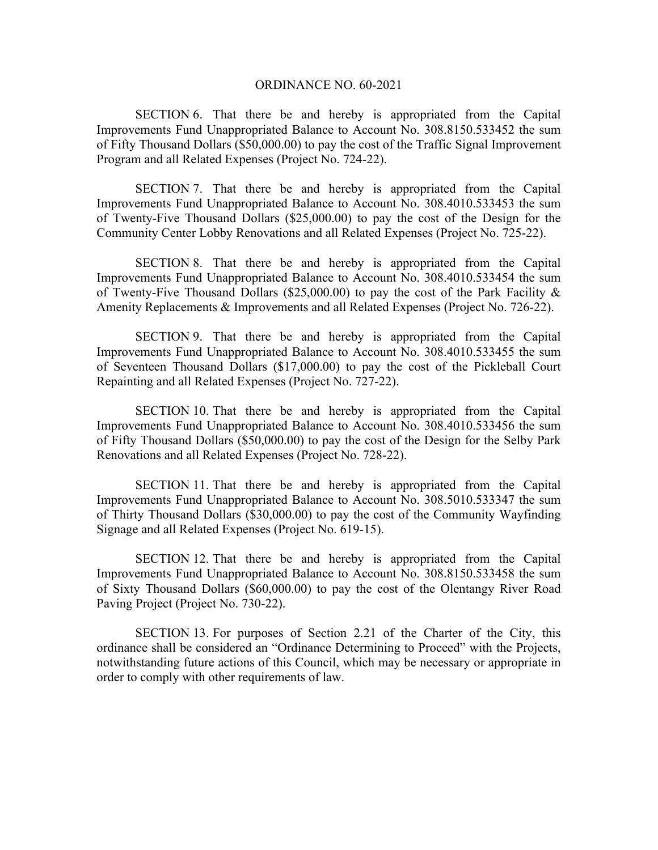## ORDINANCE NO. 60-2021

SECTION 6. That there be and hereby is appropriated from the Capital Improvements Fund Unappropriated Balance to Account No. 308.8150.533452 the sum of Fifty Thousand Dollars (\$50,000.00) to pay the cost of the Traffic Signal Improvement Program and all Related Expenses (Project No. 724-22).

SECTION 7. That there be and hereby is appropriated from the Capital Improvements Fund Unappropriated Balance to Account No. 308.4010.533453 the sum of Twenty-Five Thousand Dollars (\$25,000.00) to pay the cost of the Design for the Community Center Lobby Renovations and all Related Expenses (Project No. 725-22).

SECTION 8. That there be and hereby is appropriated from the Capital Improvements Fund Unappropriated Balance to Account No. 308.4010.533454 the sum of Twenty-Five Thousand Dollars (\$25,000.00) to pay the cost of the Park Facility  $\&$ Amenity Replacements & Improvements and all Related Expenses (Project No. 726-22).

SECTION 9. That there be and hereby is appropriated from the Capital Improvements Fund Unappropriated Balance to Account No. 308.4010.533455 the sum of Seventeen Thousand Dollars (\$17,000.00) to pay the cost of the Pickleball Court Repainting and all Related Expenses (Project No. 727-22).

SECTION 10. That there be and hereby is appropriated from the Capital Improvements Fund Unappropriated Balance to Account No. 308.4010.533456 the sum of Fifty Thousand Dollars (\$50,000.00) to pay the cost of the Design for the Selby Park Renovations and all Related Expenses (Project No. 728-22).

SECTION 11. That there be and hereby is appropriated from the Capital Improvements Fund Unappropriated Balance to Account No. 308.5010.533347 the sum of Thirty Thousand Dollars (\$30,000.00) to pay the cost of the Community Wayfinding Signage and all Related Expenses (Project No. 619-15).

SECTION 12. That there be and hereby is appropriated from the Capital Improvements Fund Unappropriated Balance to Account No. 308.8150.533458 the sum of Sixty Thousand Dollars (\$60,000.00) to pay the cost of the Olentangy River Road Paving Project (Project No. 730-22).

SECTION 13. For purposes of Section 2.21 of the Charter of the City, this ordinance shall be considered an "Ordinance Determining to Proceed" with the Projects, notwithstanding future actions of this Council, which may be necessary or appropriate in order to comply with other requirements of law.